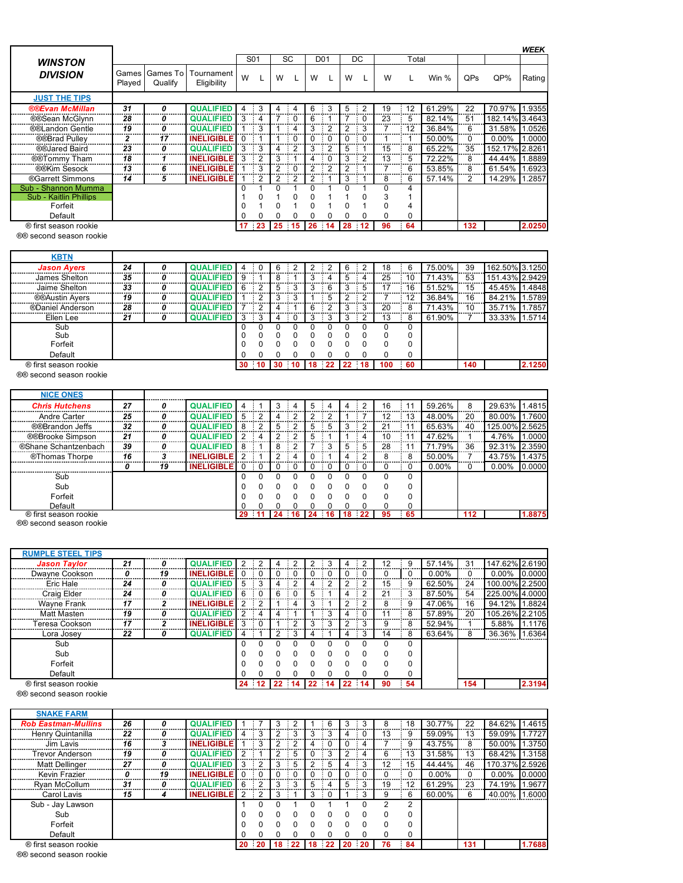|                         |                 |                     |                           |    |                  |   |                      |   |                 |   |                |       |    |        |                |                | <b>WEEK</b> |
|-------------------------|-----------------|---------------------|---------------------------|----|------------------|---|----------------------|---|-----------------|---|----------------|-------|----|--------|----------------|----------------|-------------|
| <b>WINSTON</b>          |                 |                     |                           |    | S <sub>0</sub> 1 |   | <b>SC</b>            |   | D <sub>01</sub> |   | DC             | Total |    |        |                |                |             |
| <b>DIVISION</b>         | Games<br>Played | Games To<br>Qualify | Tournament<br>Eligibility | W  |                  | W |                      | W |                 | W |                | W     |    | Win %  | QPs            | $QP\%$         | Rating      |
| <b>JUST THE TIPS</b>    |                 |                     |                           |    |                  |   |                      |   |                 |   |                |       |    |        |                |                |             |
| <b>®®Evan McMillan</b>  | 31              | 0                   | <b>QUALIFIED</b>          | 4  | - 3              |   |                      | 6 | 3               | 5 | $\sim$ 2       | 19    | 12 | 61.29% | 22             | 70.97% 1.9355  |             |
| ®®Sean McGlynn          | 28              | 0                   | <b>QUALIFIED</b>          | 3  |                  |   |                      | 6 |                 |   | $\cdot$ 0      | 23    | 5  | 82.14% | 51             | 182.14% 3.4643 |             |
| ®®Landon Gentle         | 19              | 0                   | <b>QUALIFIED</b>          |    | -3               |   |                      | 3 | $\overline{2}$  | 2 |                |       | 12 | 36.84% | 6              | 31.58% 1.0526  |             |
| ®®Brad Pulley           | 2               | 17                  | <b>INELIGIBLE</b>         | 0  |                  |   | $\overline{0}$<br>п. |   | $\Omega$<br>-11 | 0 | $\overline{0}$ |       |    | 50.00% | 0<br>.         | $0.00\%$       | 1.0000      |
| ®®Jared Baird           | 23              | 0                   | <b>QUALIFIED</b>          | 3  | $\mathcal{B}$    | 4 | 2                    | 3 | $\overline{2}$  | 5 |                | 15    | 8  | 65.22% | 35             | 152.17% 2.8261 |             |
| ®®Tommy Tham            | 18              |                     | <b>INELIGIBLE</b>         | 3  |                  | 3 |                      | 4 |                 | 3 |                | 13    | 5. | 72.22% | 8              | 44.44% 1.8889  |             |
| ®®Kim Sesock            | 13              | 6                   | <b>INELIGIBLE</b>         |    | 3                | 2 | - 0                  | 2 | 2<br>÷          | 2 |                |       | 6  | 53.85% | .<br>8         | 61.54% 1.6923  |             |
| ®Garrett Simmons        | 14              | 5                   | <b>INELIGIBLE</b>         |    |                  | 2 |                      | 2 |                 | 3 |                | 8     | 6  | 57.14% | $\overline{2}$ | 14.29% 1.2857  |             |
| Sub - Shannon Mumma     |                 |                     |                           |    |                  |   |                      |   |                 |   |                |       | 4  |        |                |                |             |
| Sub - Kaitlin Phillips  |                 |                     |                           |    |                  |   |                      |   |                 |   |                | 3     |    |        |                |                |             |
| Forfeit                 |                 |                     |                           |    |                  |   |                      | 0 |                 |   |                | 0     | 4  |        |                |                |             |
| Default                 |                 |                     |                           |    |                  |   |                      |   |                 |   |                | 0     | 0  |        |                |                |             |
| ® first season rookie   |                 |                     |                           | 17 | $-23$            |   | 25 15                |   | $26 \t14$       |   | 28 12          | 96    | 64 |        | 132            |                | 2.0250      |
| ®® second season rookie |                 |                     |                           |    |                  |   |                      |   |                 |   |                |       |    |        |                |                |             |

| <b>KBTN</b>           |    |   |                  |    |    |       |     |       |    |   |     |    |        |     |                |        |
|-----------------------|----|---|------------------|----|----|-------|-----|-------|----|---|-----|----|--------|-----|----------------|--------|
| <b>Jason Ayers</b>    | 24 |   |                  |    |    |       |     |       |    |   | 18  |    | 75.00% | 39  | 162.50% 3.1250 |        |
| James Shelton         | 35 | 0 | <b>QUALIFIED</b> |    | 8  |       |     |       |    |   | 25  | 10 | 71.43% | 53  | 151.43% 2.9429 |        |
| Jaime Shelton         | 33 | 0 | <b>QUALIFIEI</b> |    | 5  |       |     | 6     |    | b |     | 16 | 51.52% | 15  | 45.45%         | A848.  |
| <b>®®Austin Avers</b> | 19 | Ω | OUAL ELEI        |    |    |       |     | 5     |    |   |     | 12 | 36.84% | 16  | 84.21%         | .5789  |
| ®Daniel Anderson      | 28 |   | <b>QUALIFIE</b>  |    |    |       |     |       |    |   | 20  |    | 71.43% | 10  | 35.71%         | 1.7857 |
| Ellen Lee             | 21 |   | <b>QUALIFIED</b> |    |    |       |     |       |    |   | 13  | 8  | 61.90% |     | 33.33%         | 1.5714 |
| Sub                   |    |   |                  |    |    |       |     |       |    |   |     | O  |        |     |                |        |
| Sub                   |    |   |                  |    |    |       |     |       |    |   |     | 0  |        |     |                |        |
| Forfeit               |    |   |                  |    |    |       |     |       |    |   |     | 0  |        |     |                |        |
| Default               |    |   |                  |    |    |       |     |       |    |   |     | 0  |        |     |                |        |
| ® first season rookie |    |   |                  | 30 | 30 | $-10$ | -18 | $-22$ | 22 |   | 100 | 60 |        | 140 |                | 2.1250 |

®® second season rookie

| <b>NICE ONES</b>      |    |    |                   |          |           |   |   |   |   |          |          |          |          |     |                |        |
|-----------------------|----|----|-------------------|----------|-----------|---|---|---|---|----------|----------|----------|----------|-----|----------------|--------|
| <b>Chris Hutchens</b> | 27 | 0  | <b>QUALIFIED</b>  |          |           |   |   |   |   |          | 16       |          | 59.26%   | 8   | 29.63%         | 1.4815 |
| Andre Carter          | 25 | 0  | <b>QUALIFIED</b>  | 5        |           | 4 |   |   |   |          | 12       | 13       | 48.00%   | 20  | 80.00%         | .7600  |
| ®®Brandon Jeffs       | 32 | 0  | <b>QUALIFIED</b>  | 8        |           | 5 |   | 5 |   | າ        | 21       |          | 65.63%   | 40  | 125.00% 2.5625 |        |
| ®®Brooke Simpson      | 21 | 0  | <b>QUALIFIED</b>  | 2        |           |   | 5 |   |   |          | 10       |          | 47.62%   |     | 4.76%          | 1.0000 |
| ®Shane Schantzenbach  | 39 | 0  | <b>QUALIFIED</b>  | 8        |           | 8 |   | 3 | 5 | 5        | 28       |          | 71.79%   | 36  | 92.31%         | 2.3590 |
| ®Thomas Thorpe        | 16 | 3  | <b>INELIGIBLE</b> | 2        |           |   |   |   |   |          | 8        |          | 50.00%   |     | 43.75%         | 1.4375 |
|                       | 0  | 19 | <b>INELIGIBLE</b> | $\Omega$ | $\cdot$ 0 |   |   |   |   | $\Omega$ |          |          | $0.00\%$ |     | $0.00\%$       | 0.0000 |
| Sub                   |    |    |                   | 0        |           |   |   |   |   |          |          | $\Omega$ |          |     |                |        |
| Sub                   |    |    |                   |          |           |   |   |   |   |          | $\Omega$ | $\Omega$ |          |     |                |        |
| Forfeit               |    |    |                   |          |           |   |   |   |   |          | $\Omega$ | $\Omega$ |          |     |                |        |
| Default               |    |    |                   |          |           |   |   |   |   |          |          |          |          |     |                |        |
| ® first season rookie |    |    |                   | 29       |           |   |   |   |   |          | 95       | - 65     |          | 112 |                | 1.8875 |

®® second season rookie

**RUMPLE STEEL TIPS** *Jason Taylor 21 0* **QUALIFIED** 2 2 4 2 2 3 4 2 12 9 57.14% 31 147.62% 2.6190 Dwayne Cookson *0 19* **INELIGIBLE** 0 0 0 0 0 0 0 0 0 0 0.00% 0 0.00% 0.0000 Eric Hale *24 0* **QUALIFIED** 5 3 4 2 4 2 2 2 15 9 62.50% 24 100.00% 2.2500 Craig Elder *24 0* **QUALIFIED** 6 0 6 0 5 1 4 2 21 3 87.50% 54 225.00% 4.0000 Wayne Frank *17 2* **INELIGIBLE** 2 2 1 4 3 1 2 2 8 9 47.06% 16 94.12% 1.8824 Matt Masten *19 0* **QUALIFIED** 2 4 4 1 1 3 4 0 11 8 57.89% 20 105.26% 2.2105 Teresa Cookson *17 2* **INELIGIBLE** 3 0 1 2 3 3 2 3 9 8 52.94% 1 5.88% 1.1176 Lora Josey *22 0* **QUALIFIED** 4 1 2 3 4 1 4 3 14 8 63.64% 8 36.36% 1.6364 Sub 0 0 0 0 0 0 0 0 0 0 Sub 0 0 0 0 0 0 0 0 0 0 Forfeit 0 0 0 0 0 0 0 0 0 0 Default 0 0 0 0 0 0 0 0 0 0 ® first season rookie **24 12 22 14 22 14 22 14 90 54 154 2.3194**

®® second season rookie

| <b>SNAKE FARM</b>          |    |    |                   |   |             |   |                    |   |           |   |                |               |               |          |     |                |        |
|----------------------------|----|----|-------------------|---|-------------|---|--------------------|---|-----------|---|----------------|---------------|---------------|----------|-----|----------------|--------|
| <b>Rob Eastman-Mullins</b> | 26 |    | <b>QUALIFIED</b>  |   |             |   |                    |   | 6         |   |                |               | 18            | 30.77%   | 22  | 84.62% 1.4615  |        |
| Henry Quintanilla          | 22 | 0  | <b>QUALIFIED</b>  |   |             |   |                    | 3 | $\cdot$ 3 |   | $\blacksquare$ | 13            | 9             | 59.09%   | 13  | 59.09%         | 1.7727 |
| Jim Lavis                  | 16 | 3  | <b>INELIGIBLE</b> |   |             |   |                    | 4 |           |   |                |               | 9             | 43.75%   | 8   | 50.00% 1.3750  |        |
| Trevor Anderson            | 19 | 0  | <b>QUALIFIED</b>  |   |             |   | -5<br>$\mathbf{u}$ | 0 | - 3       |   | 4              | 6             | 13            | 31.58%   | 13  | 68.42% 1.3158  |        |
| Matt Dellinger             | 27 | 0  | <b>QUALIFIED</b>  | 3 |             |   | 5                  | 2 | 5         |   | 3              | 12            | 15            | 44.44%   | 46  | 170.37% 2.5926 |        |
| Kevin Frazier              |    | 19 | <b>INELIGIBLE</b> |   | $\cdot$ (   |   | $\blacksquare$     |   |           |   | $\blacksquare$ |               | 0             | $0.00\%$ | 0   | $0.00\%$       | 0.0000 |
| Ryan McCollum              | 31 | 0  | <b>QUALIFIED</b>  | 6 |             | 3 | 3                  | 5 | 4         | 5 | 3              | 19            | 12            | 61.29%   | 23  | 74.19%         | 1.9677 |
| Carol Lavis                | 15 | 4  | <b>INELIGIBLE</b> | 2 | $\cdot$ 2   | 3 |                    | 3 | $\cdot$ 0 |   | 3<br>$\cdot$   | 9             | 6             | 60.00%   | 6   | 40.00%         | 1.6000 |
| Sub - Jay Lawson           |    |    |                   |   |             |   |                    |   |           |   |                | $\mathcal{D}$ | $\mathcal{D}$ |          |     |                |        |
| Sub                        |    |    |                   |   |             |   |                    | 0 |           |   | n              | 0             | $\Omega$      |          |     |                |        |
| Forfeit                    |    |    |                   |   |             | U |                    |   |           |   |                | U             | $\Omega$      |          |     |                |        |
| Default                    |    |    |                   |   |             |   |                    |   |           |   |                |               | 0             |          |     |                |        |
| ® first season rookie      |    |    |                   |   | $20\quad20$ |   | $18$ 22            |   | 18 22     |   | 20 20          | 76            | 84            |          | 131 |                | 1.7688 |

®® second season rookie